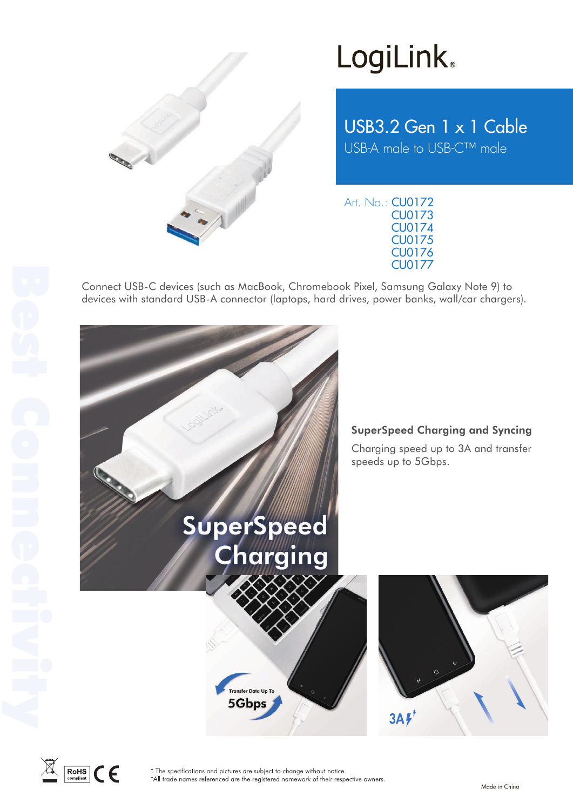

## **LogiLink**

USB3.2 Gen 1 x 1 Cable USB-A male to USB-C™ male

Art. No.: CU0172 CU0173 CU0174 CU0175 CU0176 CU0177

Connect USB-C devices (such as MacBook, Chromebook Pixel, Samsung Galaxy Note 9) to devices with standard USB-A connector (laptops, hard drives, power banks, wall/car chargers).





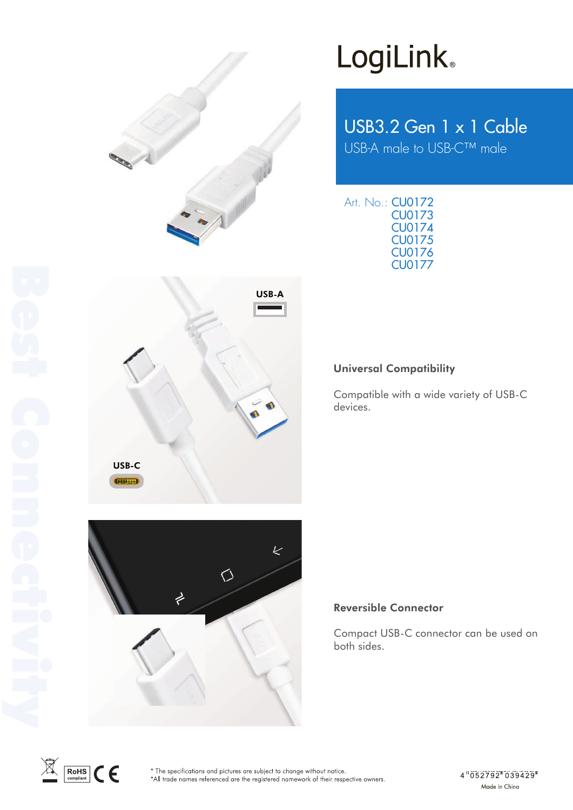

USB-A

# LogiLink<sup>®</sup>

USB3.2 Gen 1 x 1 Cable USB-A male to USB-C™ male

Art. No.: CU0172 CU0173 CU0174 CU0175 CU0177 CU0176

## Universal Compatibility

Compatible with a wide variety of USB-C devices.



### Reversible Connector

Compact USB-C connector can be used on both sides.



USB-C **CHILLIAN**